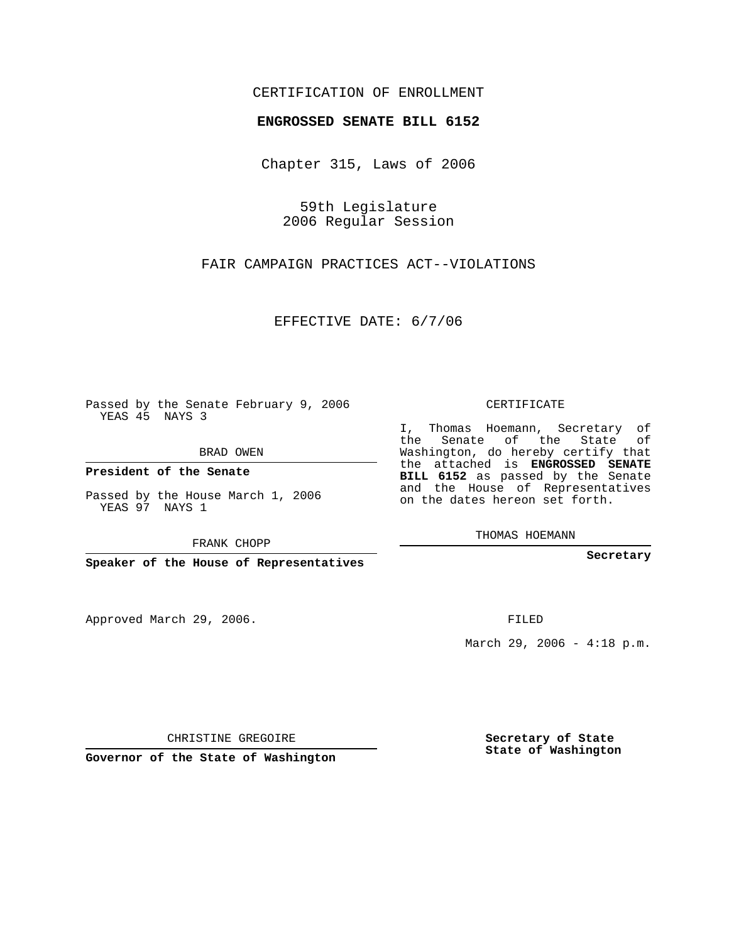## CERTIFICATION OF ENROLLMENT

## **ENGROSSED SENATE BILL 6152**

Chapter 315, Laws of 2006

59th Legislature 2006 Regular Session

FAIR CAMPAIGN PRACTICES ACT--VIOLATIONS

EFFECTIVE DATE: 6/7/06

Passed by the Senate February 9, 2006 YEAS 45 NAYS 3

BRAD OWEN

**President of the Senate**

Passed by the House March 1, 2006 YEAS 97 NAYS 1

FRANK CHOPP

**Speaker of the House of Representatives**

Approved March 29, 2006.

CERTIFICATE

I, Thomas Hoemann, Secretary of the Senate of the State of Washington, do hereby certify that the attached is **ENGROSSED SENATE BILL 6152** as passed by the Senate and the House of Representatives on the dates hereon set forth.

THOMAS HOEMANN

**Secretary**

FILED

March 29, 2006 - 4:18 p.m.

CHRISTINE GREGOIRE

**Governor of the State of Washington**

**Secretary of State State of Washington**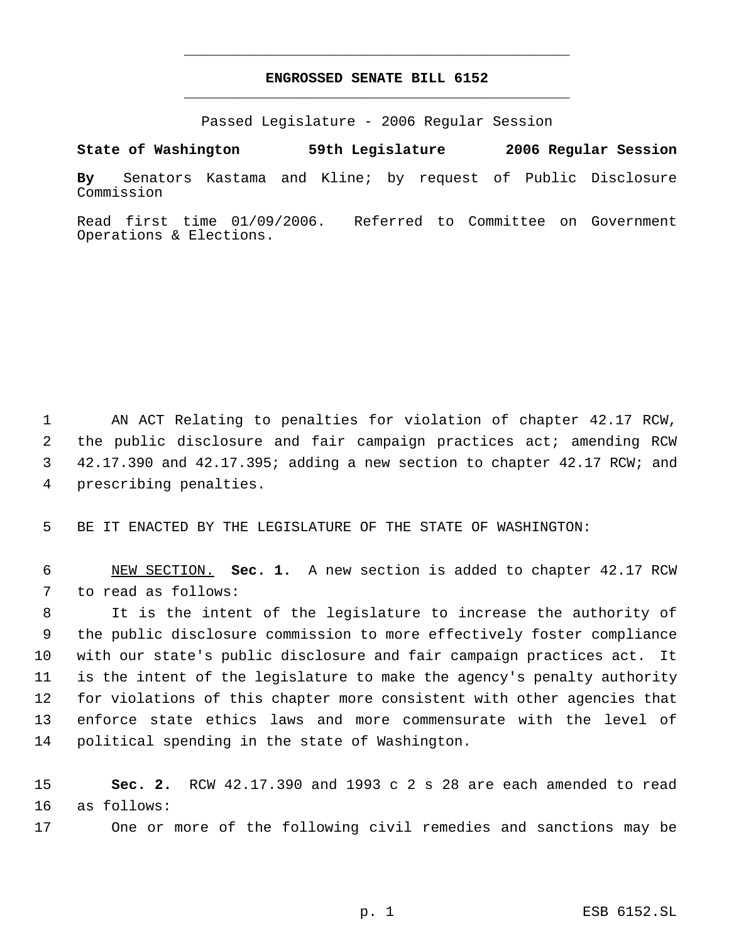## **ENGROSSED SENATE BILL 6152** \_\_\_\_\_\_\_\_\_\_\_\_\_\_\_\_\_\_\_\_\_\_\_\_\_\_\_\_\_\_\_\_\_\_\_\_\_\_\_\_\_\_\_\_\_

\_\_\_\_\_\_\_\_\_\_\_\_\_\_\_\_\_\_\_\_\_\_\_\_\_\_\_\_\_\_\_\_\_\_\_\_\_\_\_\_\_\_\_\_\_

Passed Legislature - 2006 Regular Session

**By** Senators Kastama and Kline; by request of Public Disclosure Commission

**State of Washington 59th Legislature 2006 Regular Session**

Read first time 01/09/2006. Referred to Committee on Government Operations & Elections.

 AN ACT Relating to penalties for violation of chapter 42.17 RCW, the public disclosure and fair campaign practices act; amending RCW 42.17.390 and 42.17.395; adding a new section to chapter 42.17 RCW; and prescribing penalties.

BE IT ENACTED BY THE LEGISLATURE OF THE STATE OF WASHINGTON:

 NEW SECTION. **Sec. 1.** A new section is added to chapter 42.17 RCW to read as follows:

 It is the intent of the legislature to increase the authority of the public disclosure commission to more effectively foster compliance with our state's public disclosure and fair campaign practices act. It is the intent of the legislature to make the agency's penalty authority for violations of this chapter more consistent with other agencies that enforce state ethics laws and more commensurate with the level of political spending in the state of Washington.

 **Sec. 2.** RCW 42.17.390 and 1993 c 2 s 28 are each amended to read as follows:

One or more of the following civil remedies and sanctions may be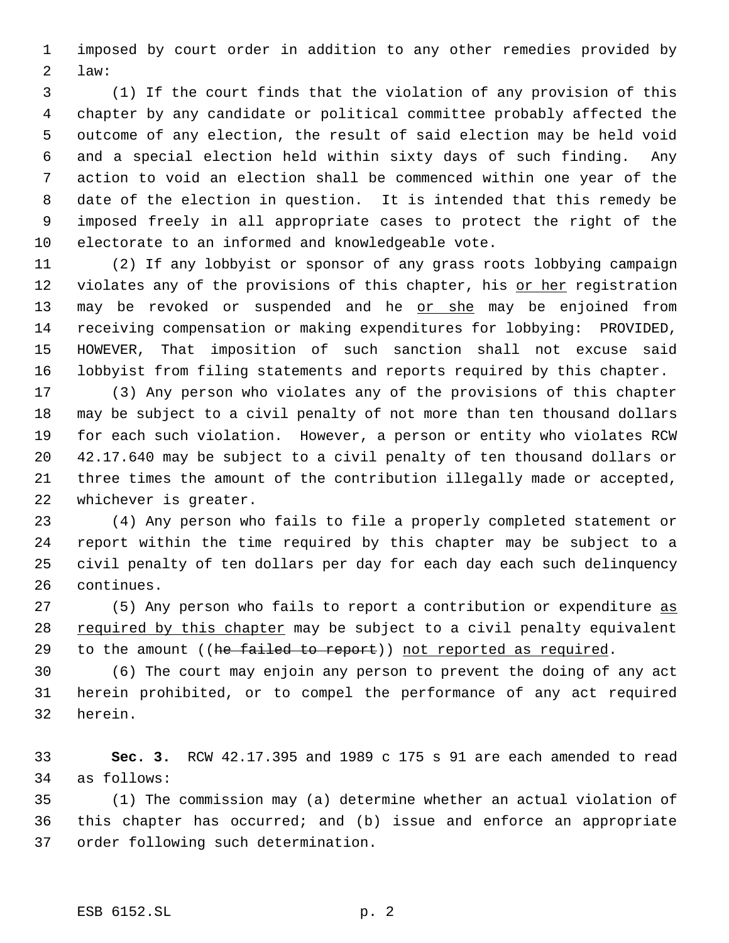imposed by court order in addition to any other remedies provided by law:

 (1) If the court finds that the violation of any provision of this chapter by any candidate or political committee probably affected the outcome of any election, the result of said election may be held void and a special election held within sixty days of such finding. Any action to void an election shall be commenced within one year of the date of the election in question. It is intended that this remedy be imposed freely in all appropriate cases to protect the right of the electorate to an informed and knowledgeable vote.

 (2) If any lobbyist or sponsor of any grass roots lobbying campaign 12 violates any of the provisions of this chapter, his or her registration 13 may be revoked or suspended and he or she may be enjoined from receiving compensation or making expenditures for lobbying: PROVIDED, HOWEVER, That imposition of such sanction shall not excuse said lobbyist from filing statements and reports required by this chapter.

 (3) Any person who violates any of the provisions of this chapter may be subject to a civil penalty of not more than ten thousand dollars for each such violation. However, a person or entity who violates RCW 42.17.640 may be subject to a civil penalty of ten thousand dollars or three times the amount of the contribution illegally made or accepted, whichever is greater.

 (4) Any person who fails to file a properly completed statement or report within the time required by this chapter may be subject to a civil penalty of ten dollars per day for each day each such delinquency continues.

27 (5) Any person who fails to report a contribution or expenditure as 28 required by this chapter may be subject to a civil penalty equivalent 29 to the amount ((he failed to report)) not reported as required.

 (6) The court may enjoin any person to prevent the doing of any act herein prohibited, or to compel the performance of any act required herein.

 **Sec. 3.** RCW 42.17.395 and 1989 c 175 s 91 are each amended to read as follows:

 (1) The commission may (a) determine whether an actual violation of this chapter has occurred; and (b) issue and enforce an appropriate order following such determination.